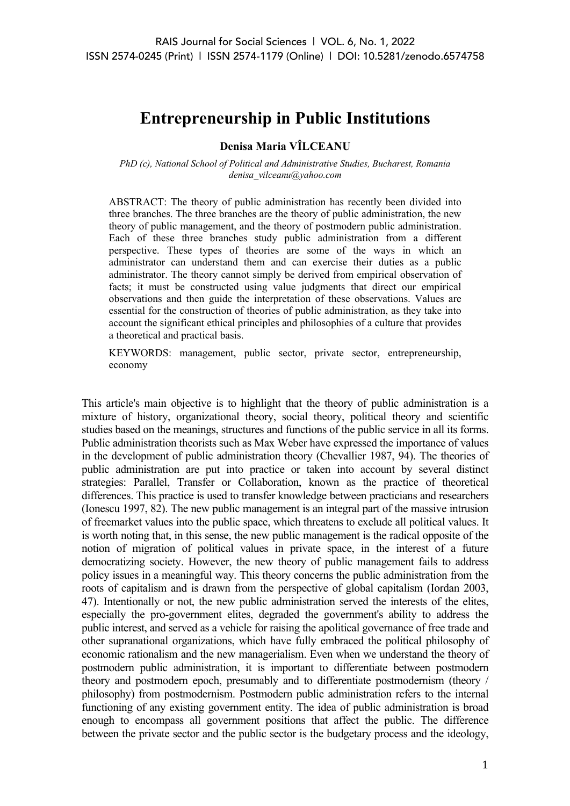# **Entrepreneurship in Public Institutions**

## **Denisa Maria VÎLCEANU**

*PhD (c), National School of Political and Administrative Studies, Bucharest, Romania denisa\_vilceanu@yahoo.com*

ABSTRACT: The theory of public administration has recently been divided into three branches. The three branches are the theory of public administration, the new theory of public management, and the theory of postmodern public administration. Each of these three branches study public administration from a different perspective. These types of theories are some of the ways in which an administrator can understand them and can exercise their duties as a public administrator. The theory cannot simply be derived from empirical observation of facts; it must be constructed using value judgments that direct our empirical observations and then guide the interpretation of these observations. Values are essential for the construction of theories of public administration, as they take into account the significant ethical principles and philosophies of a culture that provides a theoretical and practical basis.

KEYWORDS: management, public sector, private sector, entrepreneurship, economy

This article's main objective is to highlight that the theory of public administration is a mixture of history, organizational theory, social theory, political theory and scientific studies based on the meanings, structures and functions of the public service in all its forms. Public administration theorists such as Max Weber have expressed the importance of values in the development of public administration theory (Chevallier 1987, 94). The theories of public administration are put into practice or taken into account by several distinct strategies: Parallel, Transfer or Collaboration, known as the practice of theoretical differences. This practice is used to transfer knowledge between practicians and researchers (Ionescu 1997, 82). The new public management is an integral part of the massive intrusion of freemarket values into the public space, which threatens to exclude all political values. It is worth noting that, in this sense, the new public management is the radical opposite of the notion of migration of political values in private space, in the interest of a future democratizing society. However, the new theory of public management fails to address policy issues in a meaningful way. This theory concerns the public administration from the roots of capitalism and is drawn from the perspective of global capitalism (Iordan 2003, 47). Intentionally or not, the new public administration served the interests of the elites, especially the pro-government elites, degraded the government's ability to address the public interest, and served as a vehicle for raising the apolitical governance of free trade and other supranational organizations, which have fully embraced the political philosophy of economic rationalism and the new managerialism. Even when we understand the theory of postmodern public administration, it is important to differentiate between postmodern theory and postmodern epoch, presumably and to differentiate postmodernism (theory / philosophy) from postmodernism. Postmodern public administration refers to the internal functioning of any existing government entity. The idea of public administration is broad enough to encompass all government positions that affect the public. The difference between the private sector and the public sector is the budgetary process and the ideology,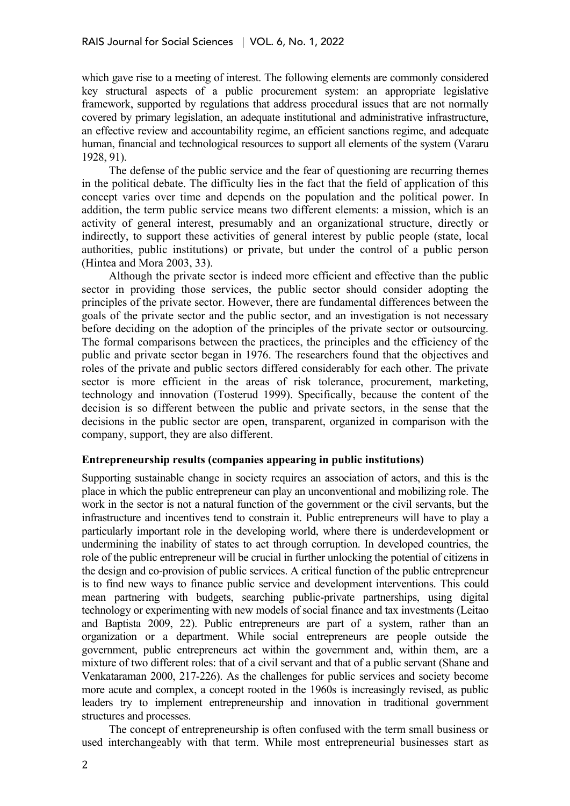which gave rise to a meeting of interest. The following elements are commonly considered key structural aspects of a public procurement system: an appropriate legislative framework, supported by regulations that address procedural issues that are not normally covered by primary legislation, an adequate institutional and administrative infrastructure, an effective review and accountability regime, an efficient sanctions regime, and adequate human, financial and technological resources to support all elements of the system (Vararu 1928, 91).

The defense of the public service and the fear of questioning are recurring themes in the political debate. The difficulty lies in the fact that the field of application of this concept varies over time and depends on the population and the political power. In addition, the term public service means two different elements: a mission, which is an activity of general interest, presumably and an organizational structure, directly or indirectly, to support these activities of general interest by public people (state, local authorities, public institutions) or private, but under the control of a public person (Hintea and Mora 2003, 33).

Although the private sector is indeed more efficient and effective than the public sector in providing those services, the public sector should consider adopting the principles of the private sector. However, there are fundamental differences between the goals of the private sector and the public sector, and an investigation is not necessary before deciding on the adoption of the principles of the private sector or outsourcing. The formal comparisons between the practices, the principles and the efficiency of the public and private sector began in 1976. The researchers found that the objectives and roles of the private and public sectors differed considerably for each other. The private sector is more efficient in the areas of risk tolerance, procurement, marketing, technology and innovation (Tosterud 1999). Specifically, because the content of the decision is so different between the public and private sectors, in the sense that the decisions in the public sector are open, transparent, organized in comparison with the company, support, they are also different.

### **Entrepreneurship results (companies appearing in public institutions)**

Supporting sustainable change in society requires an association of actors, and this is the place in which the public entrepreneur can play an unconventional and mobilizing role. The work in the sector is not a natural function of the government or the civil servants, but the infrastructure and incentives tend to constrain it. Public entrepreneurs will have to play a particularly important role in the developing world, where there is underdevelopment or undermining the inability of states to act through corruption. In developed countries, the role of the public entrepreneur will be crucial in further unlocking the potential of citizens in the design and co-provision of public services. A critical function of the public entrepreneur is to find new ways to finance public service and development interventions. This could mean partnering with budgets, searching public-private partnerships, using digital technology or experimenting with new models of social finance and tax investments (Leitao and Baptista 2009, 22). Public entrepreneurs are part of a system, rather than an organization or a department. While social entrepreneurs are people outside the government, public entrepreneurs act within the government and, within them, are a mixture of two different roles: that of a civil servant and that of a public servant (Shane and Venkataraman 2000, 217-226). As the challenges for public services and society become more acute and complex, a concept rooted in the 1960s is increasingly revised, as public leaders try to implement entrepreneurship and innovation in traditional government structures and processes.

The concept of entrepreneurship is often confused with the term small business or used interchangeably with that term. While most entrepreneurial businesses start as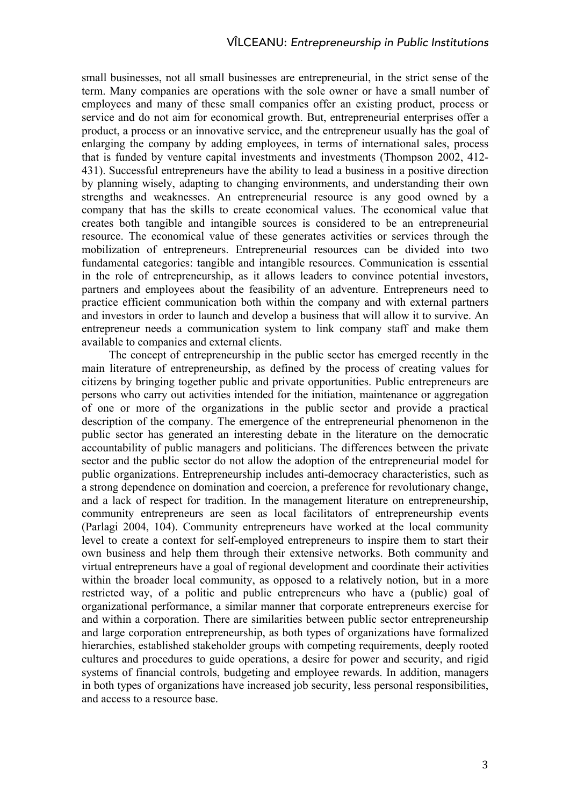small businesses, not all small businesses are entrepreneurial, in the strict sense of the term. Many companies are operations with the sole owner or have a small number of employees and many of these small companies offer an existing product, process or service and do not aim for economical growth. But, entrepreneurial enterprises offer a product, a process or an innovative service, and the entrepreneur usually has the goal of enlarging the company by adding employees, in terms of international sales, process that is funded by venture capital investments and investments (Thompson 2002, 412- 431). Successful entrepreneurs have the ability to lead a business in a positive direction by planning wisely, adapting to changing environments, and understanding their own strengths and weaknesses. An entrepreneurial resource is any good owned by a company that has the skills to create economical values. The economical value that creates both tangible and intangible sources is considered to be an entrepreneurial resource. The economical value of these generates activities or services through the mobilization of entrepreneurs. Entrepreneurial resources can be divided into two fundamental categories: tangible and intangible resources. Communication is essential in the role of entrepreneurship, as it allows leaders to convince potential investors, partners and employees about the feasibility of an adventure. Entrepreneurs need to practice efficient communication both within the company and with external partners and investors in order to launch and develop a business that will allow it to survive. An entrepreneur needs a communication system to link company staff and make them available to companies and external clients.

The concept of entrepreneurship in the public sector has emerged recently in the main literature of entrepreneurship, as defined by the process of creating values for citizens by bringing together public and private opportunities. Public entrepreneurs are persons who carry out activities intended for the initiation, maintenance or aggregation of one or more of the organizations in the public sector and provide a practical description of the company. The emergence of the entrepreneurial phenomenon in the public sector has generated an interesting debate in the literature on the democratic accountability of public managers and politicians. The differences between the private sector and the public sector do not allow the adoption of the entrepreneurial model for public organizations. Entrepreneurship includes anti-democracy characteristics, such as a strong dependence on domination and coercion, a preference for revolutionary change, and a lack of respect for tradition. In the management literature on entrepreneurship, community entrepreneurs are seen as local facilitators of entrepreneurship events (Parlagi 2004, 104). Community entrepreneurs have worked at the local community level to create a context for self-employed entrepreneurs to inspire them to start their own business and help them through their extensive networks. Both community and virtual entrepreneurs have a goal of regional development and coordinate their activities within the broader local community, as opposed to a relatively notion, but in a more restricted way, of a politic and public entrepreneurs who have a (public) goal of organizational performance, a similar manner that corporate entrepreneurs exercise for and within a corporation. There are similarities between public sector entrepreneurship and large corporation entrepreneurship, as both types of organizations have formalized hierarchies, established stakeholder groups with competing requirements, deeply rooted cultures and procedures to guide operations, a desire for power and security, and rigid systems of financial controls, budgeting and employee rewards. In addition, managers in both types of organizations have increased job security, less personal responsibilities, and access to a resource base.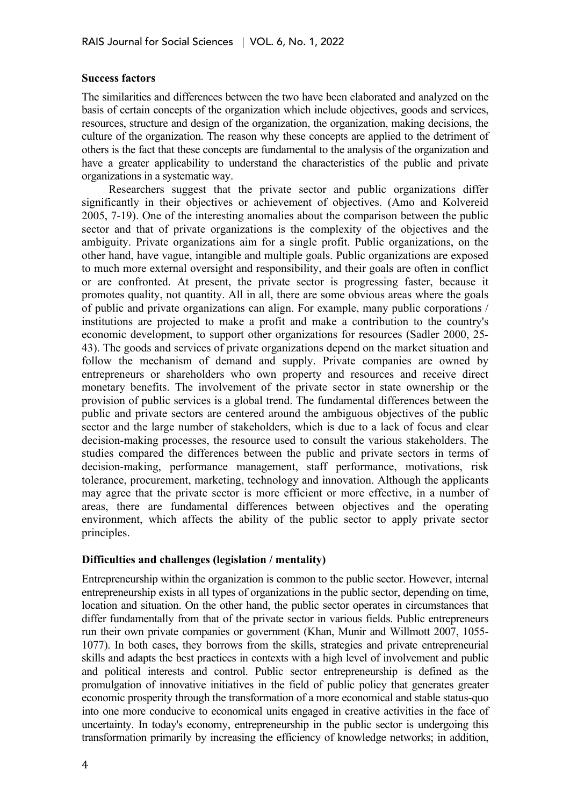### **Success factors**

The similarities and differences between the two have been elaborated and analyzed on the basis of certain concepts of the organization which include objectives, goods and services, resources, structure and design of the organization, the organization, making decisions, the culture of the organization. The reason why these concepts are applied to the detriment of others is the fact that these concepts are fundamental to the analysis of the organization and have a greater applicability to understand the characteristics of the public and private organizations in a systematic way.

Researchers suggest that the private sector and public organizations differ significantly in their objectives or achievement of objectives. (Amo and Kolvereid 2005, 7-19). One of the interesting anomalies about the comparison between the public sector and that of private organizations is the complexity of the objectives and the ambiguity. Private organizations aim for a single profit. Public organizations, on the other hand, have vague, intangible and multiple goals. Public organizations are exposed to much more external oversight and responsibility, and their goals are often in conflict or are confronted. At present, the private sector is progressing faster, because it promotes quality, not quantity. All in all, there are some obvious areas where the goals of public and private organizations can align. For example, many public corporations / institutions are projected to make a profit and make a contribution to the country's economic development, to support other organizations for resources (Sadler 2000, 25- 43). The goods and services of private organizations depend on the market situation and follow the mechanism of demand and supply. Private companies are owned by entrepreneurs or shareholders who own property and resources and receive direct monetary benefits. The involvement of the private sector in state ownership or the provision of public services is a global trend. The fundamental differences between the public and private sectors are centered around the ambiguous objectives of the public sector and the large number of stakeholders, which is due to a lack of focus and clear decision-making processes, the resource used to consult the various stakeholders. The studies compared the differences between the public and private sectors in terms of decision-making, performance management, staff performance, motivations, risk tolerance, procurement, marketing, technology and innovation. Although the applicants may agree that the private sector is more efficient or more effective, in a number of areas, there are fundamental differences between objectives and the operating environment, which affects the ability of the public sector to apply private sector principles.

### **Difficulties and challenges (legislation / mentality)**

Entrepreneurship within the organization is common to the public sector. However, internal entrepreneurship exists in all types of organizations in the public sector, depending on time, location and situation. On the other hand, the public sector operates in circumstances that differ fundamentally from that of the private sector in various fields. Public entrepreneurs run their own private companies or government (Khan, Munir and Willmott 2007, 1055- 1077). In both cases, they borrows from the skills, strategies and private entrepreneurial skills and adapts the best practices in contexts with a high level of involvement and public and political interests and control. Public sector entrepreneurship is defined as the promulgation of innovative initiatives in the field of public policy that generates greater economic prosperity through the transformation of a more economical and stable status-quo into one more conducive to economical units engaged in creative activities in the face of uncertainty. In today's economy, entrepreneurship in the public sector is undergoing this transformation primarily by increasing the efficiency of knowledge networks; in addition,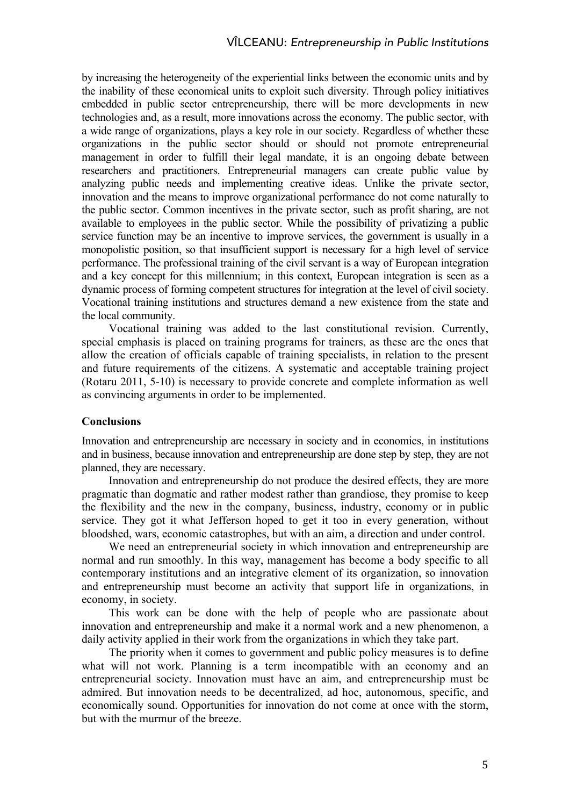by increasing the heterogeneity of the experiential links between the economic units and by the inability of these economical units to exploit such diversity. Through policy initiatives embedded in public sector entrepreneurship, there will be more developments in new technologies and, as a result, more innovations across the economy. The public sector, with a wide range of organizations, plays a key role in our society. Regardless of whether these organizations in the public sector should or should not promote entrepreneurial management in order to fulfill their legal mandate, it is an ongoing debate between researchers and practitioners. Entrepreneurial managers can create public value by analyzing public needs and implementing creative ideas. Unlike the private sector, innovation and the means to improve organizational performance do not come naturally to the public sector. Common incentives in the private sector, such as profit sharing, are not available to employees in the public sector. While the possibility of privatizing a public service function may be an incentive to improve services, the government is usually in a monopolistic position, so that insufficient support is necessary for a high level of service performance. The professional training of the civil servant is a way of European integration and a key concept for this millennium; in this context, European integration is seen as a dynamic process of forming competent structures for integration at the level of civil society. Vocational training institutions and structures demand a new existence from the state and the local community.

Vocational training was added to the last constitutional revision. Currently, special emphasis is placed on training programs for trainers, as these are the ones that allow the creation of officials capable of training specialists, in relation to the present and future requirements of the citizens. A systematic and acceptable training project (Rotaru 2011, 5-10) is necessary to provide concrete and complete information as well as convincing arguments in order to be implemented.

### **Conclusions**

Innovation and entrepreneurship are necessary in society and in economics, in institutions and in business, because innovation and entrepreneurship are done step by step, they are not planned, they are necessary.

Innovation and entrepreneurship do not produce the desired effects, they are more pragmatic than dogmatic and rather modest rather than grandiose, they promise to keep the flexibility and the new in the company, business, industry, economy or in public service. They got it what Jefferson hoped to get it too in every generation, without bloodshed, wars, economic catastrophes, but with an aim, a direction and under control.

We need an entrepreneurial society in which innovation and entrepreneurship are normal and run smoothly. In this way, management has become a body specific to all contemporary institutions and an integrative element of its organization, so innovation and entrepreneurship must become an activity that support life in organizations, in economy, in society.

This work can be done with the help of people who are passionate about innovation and entrepreneurship and make it a normal work and a new phenomenon, a daily activity applied in their work from the organizations in which they take part.

The priority when it comes to government and public policy measures is to define what will not work. Planning is a term incompatible with an economy and an entrepreneurial society. Innovation must have an aim, and entrepreneurship must be admired. But innovation needs to be decentralized, ad hoc, autonomous, specific, and economically sound. Opportunities for innovation do not come at once with the storm, but with the murmur of the breeze.